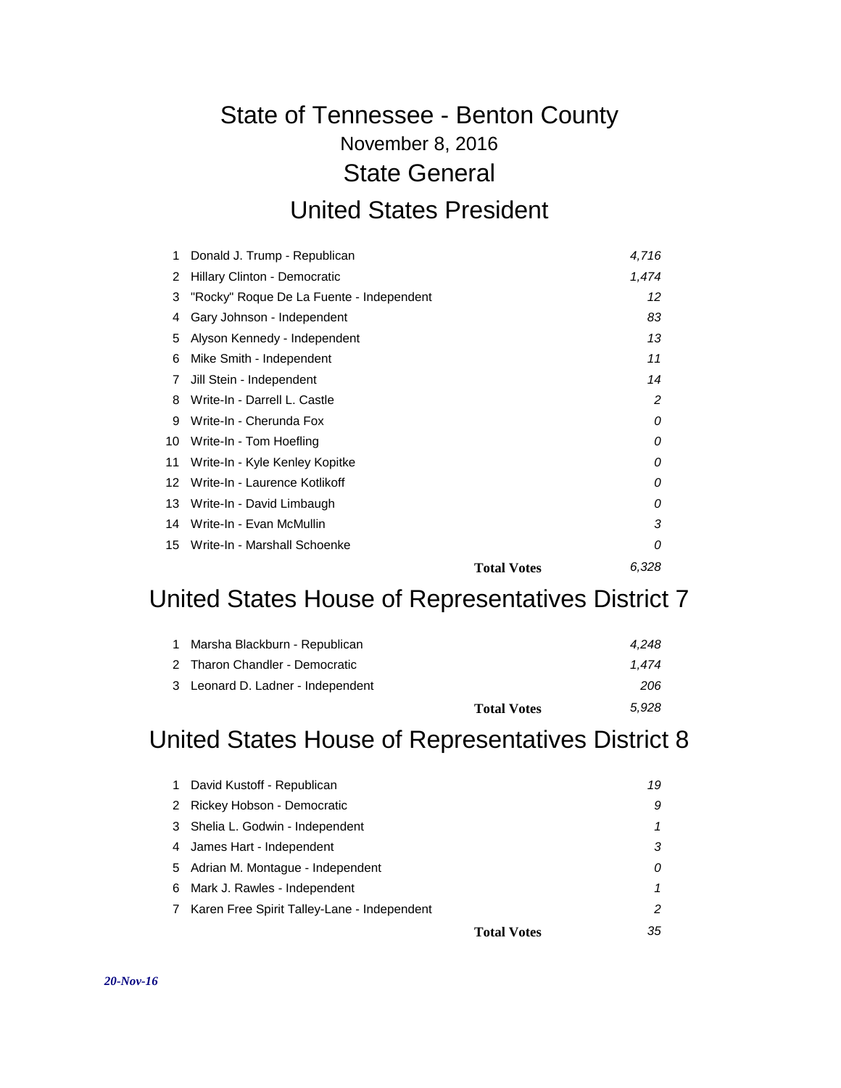# November 8, 2016 State of Tennessee - Benton County State General

#### United States President

| 1  | Donald J. Trump - Republican             | 4,716                       |
|----|------------------------------------------|-----------------------------|
| 2  | Hillary Clinton - Democratic             | 1,474                       |
| 3  | "Rocky" Roque De La Fuente - Independent | 12                          |
| 4  | Gary Johnson - Independent               | 83                          |
| 5  | Alyson Kennedy - Independent             | 13                          |
| 6  | Mike Smith - Independent                 | 11                          |
| 7  | Jill Stein - Independent                 | 14                          |
| 8  | Write-In - Darrell L. Castle             | 2                           |
| 9  | Write-In - Cherunda Fox                  | 0                           |
| 10 | Write-In - Tom Hoefling                  | 0                           |
| 11 | Write-In - Kyle Kenley Kopitke           | 0                           |
| 12 | Write-In - Laurence Kotlikoff            | 0                           |
| 13 | Write-In - David Limbaugh                | 0                           |
| 14 | Write-In - Evan McMullin                 | 3                           |
|    | 15 Write-In - Marshall Schoenke          | 0                           |
|    |                                          | 6,328<br><b>Total Votes</b> |

#### United States House of Representatives District 7

| 1 Marsha Blackburn - Republican   |                    | 4.248 |
|-----------------------------------|--------------------|-------|
| 2 Tharon Chandler - Democratic    |                    | 1.474 |
| 3 Leonard D. Ladner - Independent |                    | 206   |
|                                   | <b>Total Votes</b> | 5.928 |

## United States House of Representatives District 8

| 1. | David Kustoff - Republican                  | 19                       |
|----|---------------------------------------------|--------------------------|
| 2  | Rickey Hobson - Democratic                  | 9                        |
|    | 3 Shelia L. Godwin - Independent            |                          |
|    | 4 James Hart - Independent                  | З                        |
| 5  | Adrian M. Montague - Independent            | 0                        |
| 6  | Mark J. Rawles - Independent                |                          |
| 7  | Karen Free Spirit Talley-Lane - Independent | 2                        |
|    |                                             | 35<br><b>Total Votes</b> |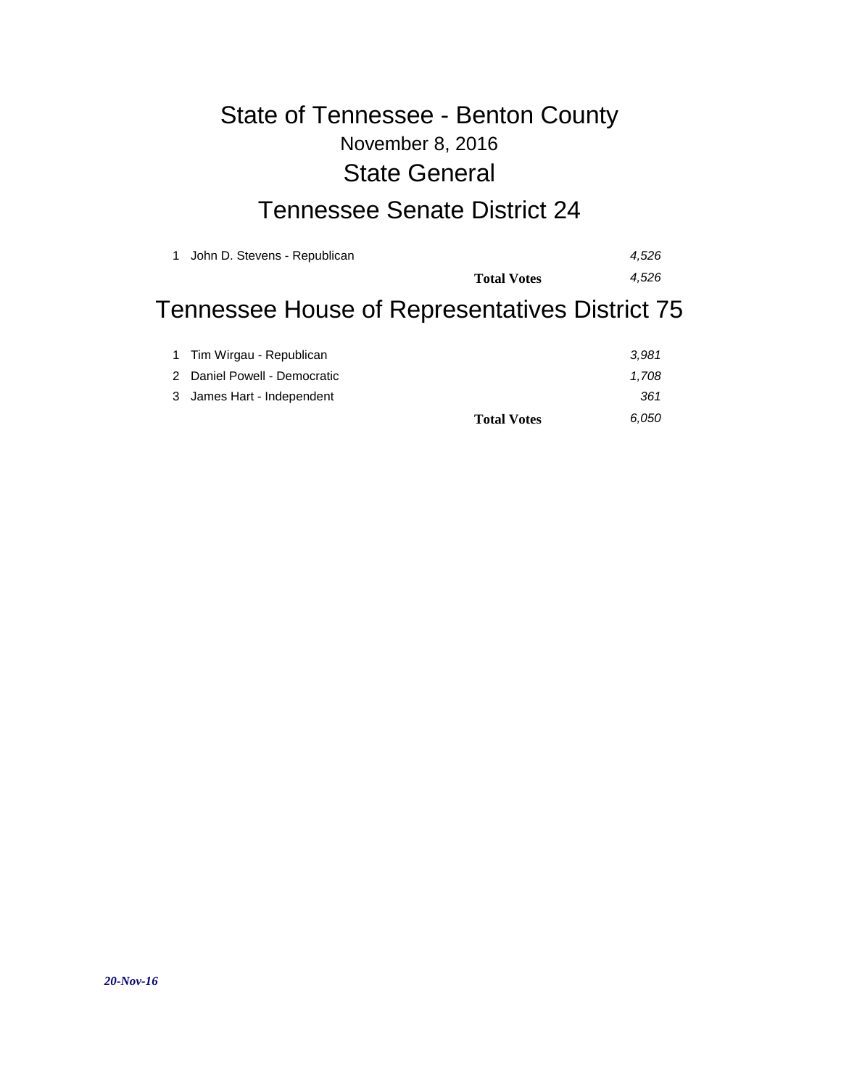### November 8, 2016 State of Tennessee - Benton County State General

### Tennessee Senate District 24

| John D. Stevens - Republican<br>$\mathbf{1}$   |                    | 4.526 |
|------------------------------------------------|--------------------|-------|
|                                                | <b>Total Votes</b> | 4.526 |
| Tennessee House of Representatives District 75 |                    |       |
| 1 Tim Wirgau - Republican                      |                    | 3.981 |
| 2 Denial Deurall Democratic                    |                    | 1.700 |

|                              | <b>Total Votes</b> | 6.050 |
|------------------------------|--------------------|-------|
| 3 James Hart - Independent   |                    | 361   |
| 2 Daniel Powell - Democratic |                    | 1.708 |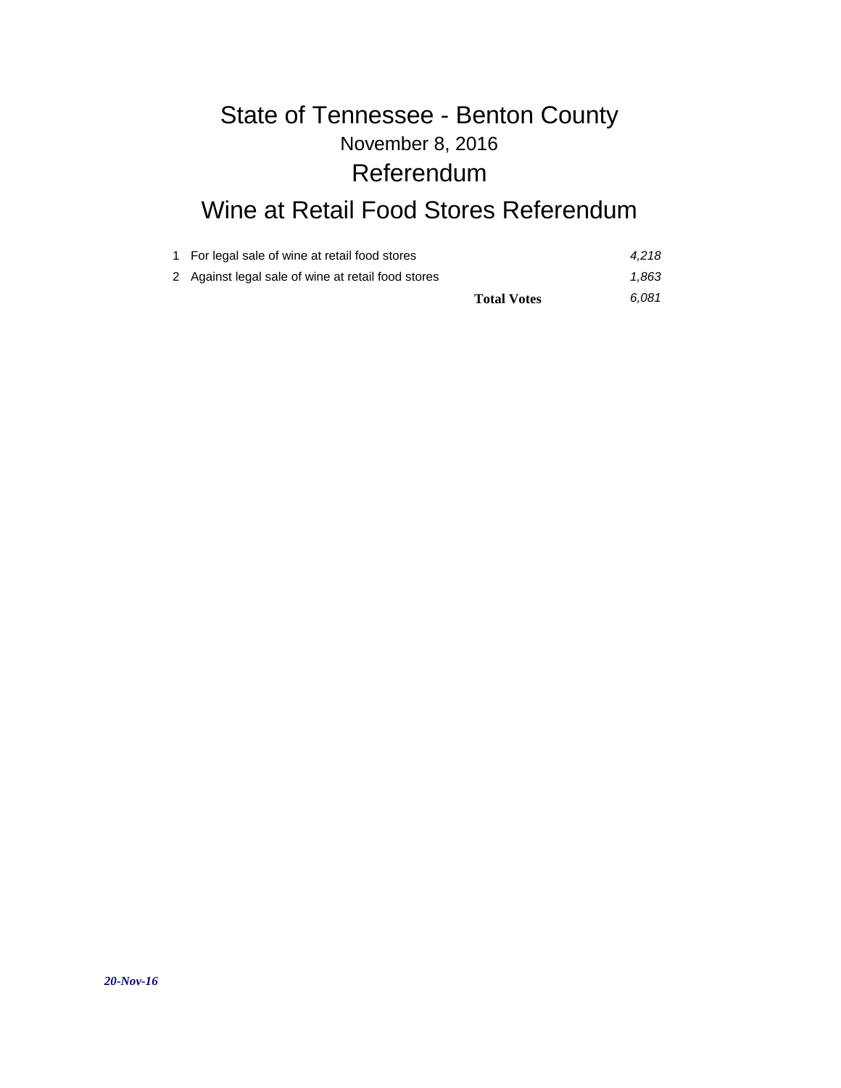## November 8, 2016 State of Tennessee - Benton County Referendum

## Wine at Retail Food Stores Referendum

| 1 For legal sale of wine at retail food stores     | 4.218 |
|----------------------------------------------------|-------|
| 2 Against legal sale of wine at retail food stores | 1.863 |
| <b>Total Votes</b>                                 | 6.081 |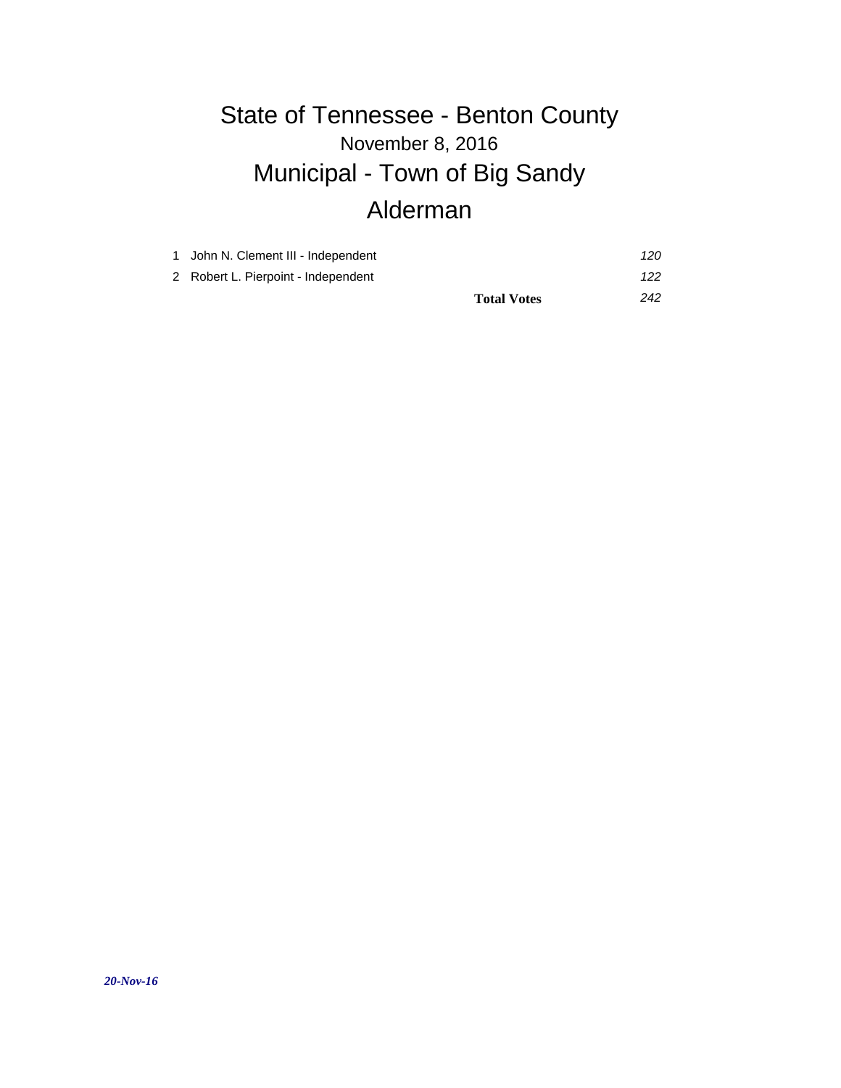# November 8, 2016 State of Tennessee - Benton County Municipal - Town of Big Sandy Alderman

|                                     | <b>Total Votes</b> | 242 |
|-------------------------------------|--------------------|-----|
| 2 Robert L. Pierpoint - Independent |                    | 122 |
| 1 John N. Clement III - Independent |                    | 120 |